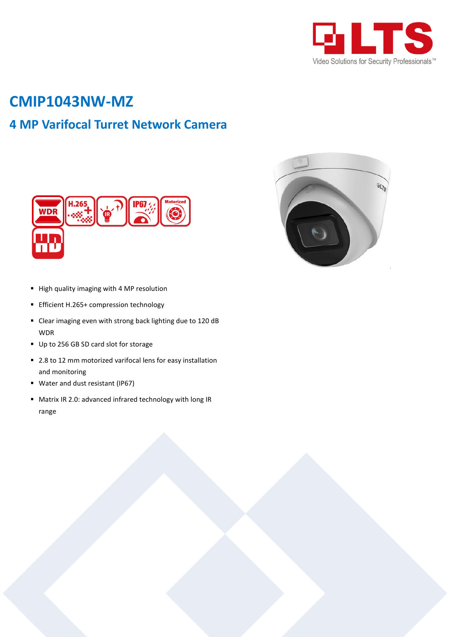

# **CMIP1043NW-MZ**

## **4 MP Varifocal Turret Network Camera**





- High quality imaging with 4 MP resolution
- Efficient H.265+ compression technology
- Clear imaging even with strong back lighting due to 120 dB WDR
- Up to 256 GB SD card slot for storage
- 2.8 to 12 mm motorized varifocal lens for easy installation and monitoring
- Water and dust resistant (IP67)
- Matrix IR 2.0: advanced infrared technology with long IR range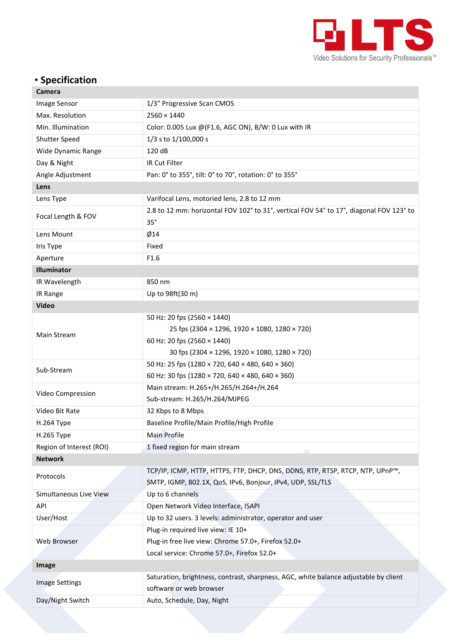

### **Specification**

| Camera                   |                                                                                                                                             |  |
|--------------------------|---------------------------------------------------------------------------------------------------------------------------------------------|--|
| <b>Image Sensor</b>      | 1/3" Progressive Scan CMOS                                                                                                                  |  |
| Max. Resolution          | $2560 \times 1440$                                                                                                                          |  |
| Min. Illumination        | Color: 0.005 Lux @(F1.6, AGC ON), B/W: 0 Lux with IR                                                                                        |  |
| <b>Shutter Speed</b>     | 1/3 s to 1/100,000 s                                                                                                                        |  |
| Wide Dynamic Range       | 120 dB                                                                                                                                      |  |
| Day & Night              | IR Cut Filter                                                                                                                               |  |
| Angle Adjustment         | Pan: 0° to 355°, tilt: 0° to 70°, rotation: 0° to 355°                                                                                      |  |
| Lens                     |                                                                                                                                             |  |
| Lens Type                | Varifocal Lens, motoried lens, 2.8 to 12 mm                                                                                                 |  |
| Focal Length & FOV       | 2.8 to 12 mm: horizontal FOV 102° to 31°, vertical FOV 54° to 17°, diagonal FOV 123° to<br>$35^\circ$                                       |  |
| Lens Mount               | $\emptyset$ 14                                                                                                                              |  |
| Iris Type                | Fixed                                                                                                                                       |  |
| Aperture                 | F1.6                                                                                                                                        |  |
| Illuminator              |                                                                                                                                             |  |
| IR Wavelength            | 850 nm                                                                                                                                      |  |
| IR Range                 | Up to 98ft(30 m)                                                                                                                            |  |
| <b>Video</b>             |                                                                                                                                             |  |
|                          | 50 Hz: 20 fps (2560 × 1440)                                                                                                                 |  |
| Main Stream              | 25 fps (2304 × 1296, 1920 × 1080, 1280 × 720)                                                                                               |  |
|                          | 60 Hz: 20 fps (2560 × 1440)                                                                                                                 |  |
|                          | 30 fps (2304 × 1296, 1920 × 1080, 1280 × 720)                                                                                               |  |
| Sub-Stream               | 50 Hz: 25 fps (1280 × 720, 640 × 480, 640 × 360)                                                                                            |  |
|                          | 60 Hz: 30 fps (1280 × 720, 640 × 480, 640 × 360)                                                                                            |  |
| Video Compression        | Main stream: H.265+/H.265/H.264+/H.264                                                                                                      |  |
|                          | Sub-stream: H.265/H.264/MJPEG                                                                                                               |  |
| Video Bit Rate           | 32 Kbps to 8 Mbps                                                                                                                           |  |
| H.264 Type               | Baseline Profile/Main Profile/High Profile                                                                                                  |  |
| H.265 Type               | Main Profile                                                                                                                                |  |
| Region of Interest (ROI) | 1 fixed region for main stream                                                                                                              |  |
| <b>Network</b>           |                                                                                                                                             |  |
| Protocols                | TCP/IP, ICMP, HTTP, HTTPS, FTP, DHCP, DNS, DDNS, RTP, RTSP, RTCP, NTP, UPnP™,<br>SMTP, IGMP, 802.1X, QoS, IPv6, Bonjour, IPv4, UDP, SSL/TLS |  |
| Simultaneous Live View   | Up to 6 channels                                                                                                                            |  |
| API                      | Open Network Video Interface, ISAPI                                                                                                         |  |
| User/Host                | Up to 32 users. 3 levels: administrator, operator and user                                                                                  |  |
| Web Browser              | Plug-in required live view: IE 10+                                                                                                          |  |
|                          | Plug-in free live view: Chrome 57.0+, Firefox 52.0+                                                                                         |  |
|                          | Local service: Chrome 57.0+, Firefox 52.0+                                                                                                  |  |
| Image                    |                                                                                                                                             |  |
| <b>Image Settings</b>    | Saturation, brightness, contrast, sharpness, AGC, white balance adjustable by client                                                        |  |
|                          | software or web browser                                                                                                                     |  |
| Day/Night Switch         | Auto, Schedule, Day, Night                                                                                                                  |  |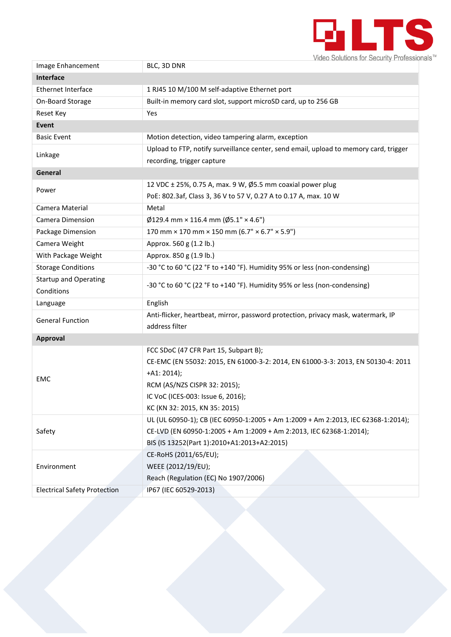

| Image Enhancement                   | BLC, 3D DNR                                                                           |  |
|-------------------------------------|---------------------------------------------------------------------------------------|--|
| Interface                           |                                                                                       |  |
| <b>Ethernet Interface</b>           | 1 RJ45 10 M/100 M self-adaptive Ethernet port                                         |  |
| On-Board Storage                    | Built-in memory card slot, support microSD card, up to 256 GB                         |  |
| Reset Key                           | Yes                                                                                   |  |
| Event                               |                                                                                       |  |
| <b>Basic Event</b>                  | Motion detection, video tampering alarm, exception                                    |  |
| Linkage                             | Upload to FTP, notify surveillance center, send email, upload to memory card, trigger |  |
|                                     | recording, trigger capture                                                            |  |
| General                             |                                                                                       |  |
| Power                               | 12 VDC ± 25%, 0.75 A, max. 9 W, Ø5.5 mm coaxial power plug                            |  |
|                                     | PoE: 802.3af, Class 3, 36 V to 57 V, 0.27 A to 0.17 A, max. 10 W                      |  |
| Camera Material                     | Metal                                                                                 |  |
| <b>Camera Dimension</b>             | $\emptyset$ 129.4 mm × 116.4 mm ( $\emptyset$ 5.1" × 4.6")                            |  |
| Package Dimension                   | 170 mm × 170 mm × 150 mm (6.7" × 6.7" × 5.9")                                         |  |
| Camera Weight                       | Approx. 560 g (1.2 lb.)                                                               |  |
| With Package Weight                 | Approx. 850 g (1.9 lb.)                                                               |  |
| <b>Storage Conditions</b>           | -30 °C to 60 °C (22 °F to +140 °F). Humidity 95% or less (non-condensing)             |  |
| <b>Startup and Operating</b>        | -30 °C to 60 °C (22 °F to +140 °F). Humidity 95% or less (non-condensing)             |  |
| Conditions                          |                                                                                       |  |
| Language                            | English                                                                               |  |
| <b>General Function</b>             | Anti-flicker, heartbeat, mirror, password protection, privacy mask, watermark, IP     |  |
|                                     | address filter                                                                        |  |
| <b>Approval</b>                     |                                                                                       |  |
| EMC                                 | FCC SDoC (47 CFR Part 15, Subpart B);                                                 |  |
|                                     | CE-EMC (EN 55032: 2015, EN 61000-3-2: 2014, EN 61000-3-3: 2013, EN 50130-4: 2011      |  |
|                                     | $+A1:2014);$                                                                          |  |
|                                     | RCM (AS/NZS CISPR 32: 2015);                                                          |  |
|                                     | IC VoC (ICES-003: Issue 6, 2016);                                                     |  |
|                                     | KC (KN 32: 2015, KN 35: 2015)                                                         |  |
| Safety                              | UL (UL 60950-1); CB (IEC 60950-1:2005 + Am 1:2009 + Am 2:2013, IEC 62368-1:2014);     |  |
|                                     | CE-LVD (EN 60950-1:2005 + Am 1:2009 + Am 2:2013, IEC 62368-1:2014);                   |  |
|                                     | BIS (IS 13252(Part 1):2010+A1:2013+A2:2015)                                           |  |
| Environment                         | CE-RoHS (2011/65/EU);                                                                 |  |
|                                     | WEEE (2012/19/EU);                                                                    |  |
|                                     | Reach (Regulation (EC) No 1907/2006)                                                  |  |
| <b>Electrical Safety Protection</b> | IP67 (IEC 60529-2013)                                                                 |  |